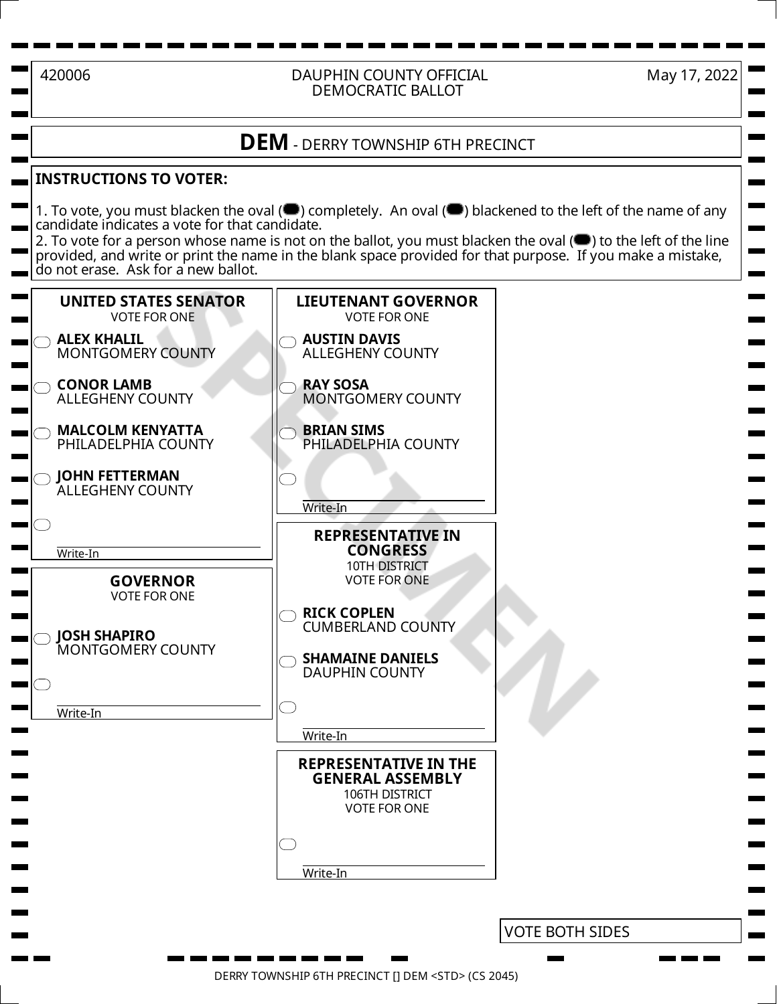## 420006 DAUPHIN COUNTY OFFICIAL DEMOCRATIC BALLOT

## **DEM** - DERRY TOWNSHIP 6TH PRECINCT

## **INSTRUCTIONS TO VOTER:**

1. To vote, you must blacken the oval ( $\blacksquare$ ) completely. An oval ( $\blacksquare$ ) blackened to the left of the name of any candidate indicates a vote for that candidate.

2. To vote for a person whose name is not on the ballot, you must blacken the oval  $($ **)** to the left of the line provided, and write or print the name in the blank space provided for that purpose. If you make a mistake, do not erase. Ask for a new ballot.



VOTE BOTH SIDES